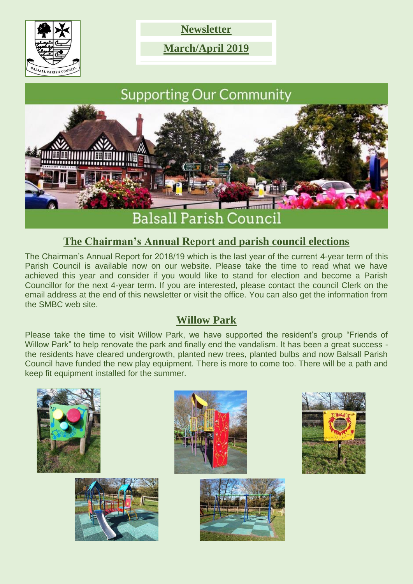

**Newsletter**

**March/April 2019**

# **Supporting Our Community**



## **The Chairman's Annual Report and parish council elections**

The Chairman's Annual Report for 2018/19 which is the last year of the current 4-year term of this Parish Council is available now on our website. Please take the time to read what we have achieved this year and consider if you would like to stand for election and become a Parish Councillor for the next 4-year term. If you are interested, please contact the council Clerk on the email address at the end of this newsletter or visit the office. You can also get the information from the SMBC web site.

## **Willow Park**

Please take the time to visit Willow Park, we have supported the resident's group "Friends of Willow Park" to help renovate the park and finally end the vandalism. It has been a great success the residents have cleared undergrowth, planted new trees, planted bulbs and now Balsall Parish Council have funded the new play equipment. There is more to come too. There will be a path and keep fit equipment installed for the summer.